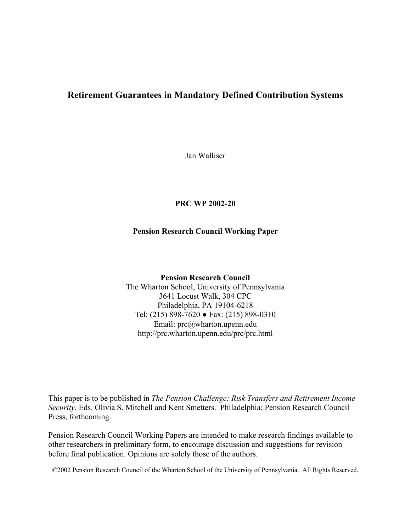# **Retirement Guarantees in Mandatory Defined Contribution Systems**

Jan Walliser

# **PRC WP 2002-20**

### **Pension Research Council Working Paper**

**Pension Research Council**  The Wharton School, University of Pennsylvania 3641 Locust Walk, 304 CPC Philadelphia, PA 19104-6218 Tel: (215) 898-7620 ● Fax: (215) 898-0310 Email: prc@wharton.upenn.edu http://prc.wharton.upenn.edu/prc/prc.html

This paper is to be published in *The Pension Challenge: Risk Transfers and Retirement Income Security*. Eds. Olivia S. Mitchell and Kent Smetters.Philadelphia: Pension Research Council Press, forthcoming.

Pension Research Council Working Papers are intended to make research findings available to other researchers in preliminary form, to encourage discussion and suggestions for revision before final publication. Opinions are solely those of the authors.

©2002 Pension Research Council of the Wharton School of the University of Pennsylvania. All Rights Reserved.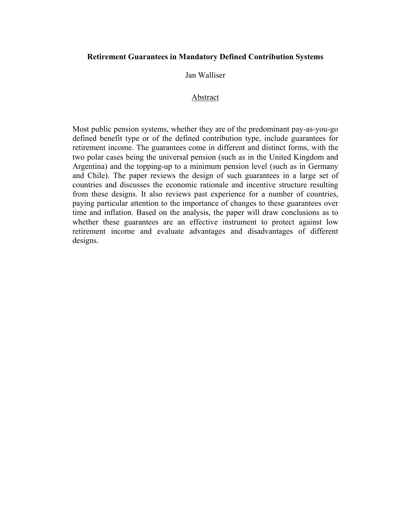# **Retirement Guarantees in Mandatory Defined Contribution Systems**

# Jan Walliser

### Abstract

Most public pension systems, whether they are of the predominant pay-as-you-go defined benefit type or of the defined contribution type, include guarantees for retirement income. The guarantees come in different and distinct forms, with the two polar cases being the universal pension (such as in the United Kingdom and Argentina) and the topping-up to a minimum pension level (such as in Germany and Chile). The paper reviews the design of such guarantees in a large set of countries and discusses the economic rationale and incentive structure resulting from these designs. It also reviews past experience for a number of countries, paying particular attention to the importance of changes to these guarantees over time and inflation. Based on the analysis, the paper will draw conclusions as to whether these guarantees are an effective instrument to protect against low retirement income and evaluate advantages and disadvantages of different designs.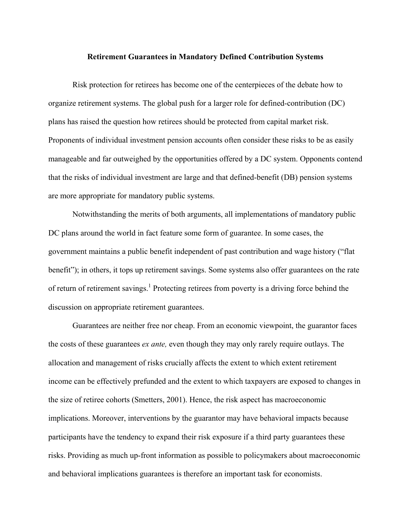#### **Retirement Guarantees in Mandatory Defined Contribution Systems**

Risk protection for retirees has become one of the centerpieces of the debate how to organize retirement systems. The global push for a larger role for defined-contribution (DC) plans has raised the question how retirees should be protected from capital market risk. Proponents of individual investment pension accounts often consider these risks to be as easily manageable and far outweighed by the opportunities offered by a DC system. Opponents contend that the risks of individual investment are large and that defined-benefit (DB) pension systems are more appropriate for mandatory public systems.

Notwithstanding the merits of both arguments, all implementations of mandatory public DC plans around the world in fact feature some form of guarantee. In some cases, the government maintains a public benefit independent of past contribution and wage history ("flat benefit"); in others, it tops up retirement savings. Some systems also offer guarantees on the rate of return of retirement savings.<sup>[1](#page-19-0)</sup> Protecting retirees from poverty is a driving force behind the discussion on appropriate retirement guarantees.

Guarantees are neither free nor cheap. From an economic viewpoint, the guarantor faces the costs of these guarantees *ex ante,* even though they may only rarely require outlays. The allocation and management of risks crucially affects the extent to which extent retirement income can be effectively prefunded and the extent to which taxpayers are exposed to changes in the size of retiree cohorts (Smetters, 2001). Hence, the risk aspect has macroeconomic implications. Moreover, interventions by the guarantor may have behavioral impacts because participants have the tendency to expand their risk exposure if a third party guarantees these risks. Providing as much up-front information as possible to policymakers about macroeconomic and behavioral implications guarantees is therefore an important task for economists.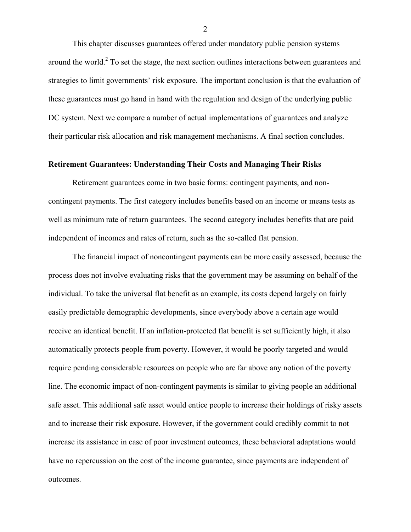This chapter discusses guarantees offered under mandatory public pension systems around the world. $2$  To set the stage, the next section outlines interactions between guarantees and strategies to limit governments' risk exposure. The important conclusion is that the evaluation of these guarantees must go hand in hand with the regulation and design of the underlying public DC system. Next we compare a number of actual implementations of guarantees and analyze their particular risk allocation and risk management mechanisms. A final section concludes.

# **Retirement Guarantees: Understanding Their Costs and Managing Their Risks**

Retirement guarantees come in two basic forms: contingent payments, and noncontingent payments. The first category includes benefits based on an income or means tests as well as minimum rate of return guarantees. The second category includes benefits that are paid independent of incomes and rates of return, such as the so-called flat pension.

The financial impact of noncontingent payments can be more easily assessed, because the process does not involve evaluating risks that the government may be assuming on behalf of the individual. To take the universal flat benefit as an example, its costs depend largely on fairly easily predictable demographic developments, since everybody above a certain age would receive an identical benefit. If an inflation-protected flat benefit is set sufficiently high, it also automatically protects people from poverty. However, it would be poorly targeted and would require pending considerable resources on people who are far above any notion of the poverty line. The economic impact of non-contingent payments is similar to giving people an additional safe asset. This additional safe asset would entice people to increase their holdings of risky assets and to increase their risk exposure. However, if the government could credibly commit to not increase its assistance in case of poor investment outcomes, these behavioral adaptations would have no repercussion on the cost of the income guarantee, since payments are independent of outcomes.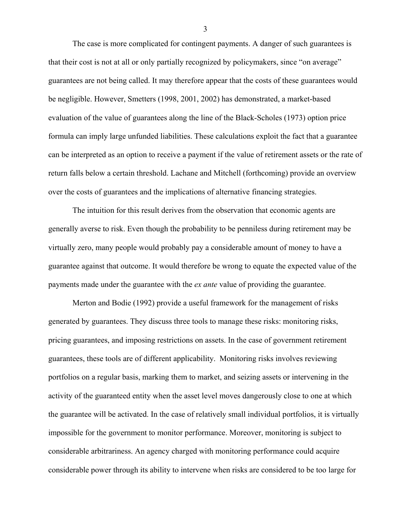The case is more complicated for contingent payments. A danger of such guarantees is that their cost is not at all or only partially recognized by policymakers, since "on average" guarantees are not being called. It may therefore appear that the costs of these guarantees would be negligible. However, Smetters (1998, 2001, 2002) has demonstrated, a market-based evaluation of the value of guarantees along the line of the Black-Scholes (1973) option price formula can imply large unfunded liabilities. These calculations exploit the fact that a guarantee can be interpreted as an option to receive a payment if the value of retirement assets or the rate of return falls below a certain threshold. Lachane and Mitchell (forthcoming) provide an overview over the costs of guarantees and the implications of alternative financing strategies.

The intuition for this result derives from the observation that economic agents are generally averse to risk. Even though the probability to be penniless during retirement may be virtually zero, many people would probably pay a considerable amount of money to have a guarantee against that outcome. It would therefore be wrong to equate the expected value of the payments made under the guarantee with the *ex ante* value of providing the guarantee.

Merton and Bodie (1992) provide a useful framework for the management of risks generated by guarantees. They discuss three tools to manage these risks: monitoring risks, pricing guarantees, and imposing restrictions on assets. In the case of government retirement guarantees, these tools are of different applicability. Monitoring risks involves reviewing portfolios on a regular basis, marking them to market, and seizing assets or intervening in the activity of the guaranteed entity when the asset level moves dangerously close to one at which the guarantee will be activated. In the case of relatively small individual portfolios, it is virtually impossible for the government to monitor performance. Moreover, monitoring is subject to considerable arbitrariness. An agency charged with monitoring performance could acquire considerable power through its ability to intervene when risks are considered to be too large for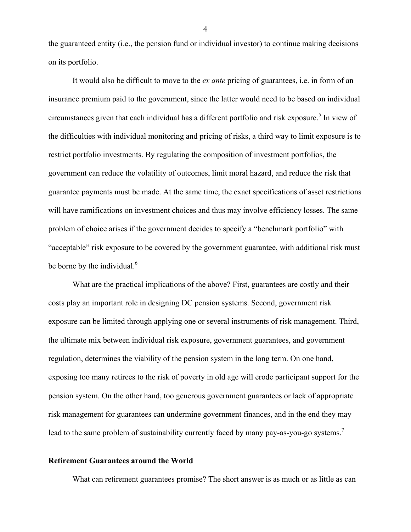the guaranteed entity (i.e., the pension fund or individual investor) to continue making decisions on its portfolio.

It would also be difficult to move to the *ex ante* pricing of guarantees, i.e. in form of an insurance premium paid to the government, since the latter would need to be based on individual circumstances given that each individual has a different portfolio and risk exposure.<sup>5</sup> In view of the difficulties with individual monitoring and pricing of risks, a third way to limit exposure is to restrict portfolio investments. By regulating the composition of investment portfolios, the government can reduce the volatility of outcomes, limit moral hazard, and reduce the risk that guarantee payments must be made. At the same time, the exact specifications of asset restrictions will have ramifications on investment choices and thus may involve efficiency losses. The same problem of choice arises if the government decides to specify a "benchmark portfolio" with "acceptable" risk exposure to be covered by the government guarantee, with additional risk must be borne by the individual.<sup>6</sup>

What are the practical implications of the above? First, guarantees are costly and their costs play an important role in designing DC pension systems. Second, government risk exposure can be limited through applying one or several instruments of risk management. Third, the ultimate mix between individual risk exposure, government guarantees, and government regulation, determines the viability of the pension system in the long term. On one hand, exposing too many retirees to the risk of poverty in old age will erode participant support for the pension system. On the other hand, too generous government guarantees or lack of appropriate risk management for guarantees can undermine government finances, and in the end they may lead to the same problem of sustainability currently faced by many pay-as-you-go systems.<sup>[7](#page-19-4)</sup>

#### **Retirement Guarantees around the World**

What can retirement guarantees promise? The short answer is as much or as little as can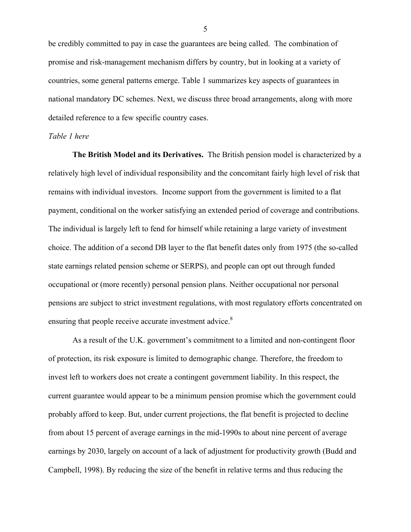be credibly committed to pay in case the guarantees are being called. The combination of promise and risk-management mechanism differs by country, but in looking at a variety of countries, some general patterns emerge. Table 1 summarizes key aspects of guarantees in national mandatory DC schemes. Next, we discuss three broad arrangements, along with more detailed reference to a few specific country cases.

## *Table 1 here*

**The British Model and its Derivatives.** The British pension model is characterized by a relatively high level of individual responsibility and the concomitant fairly high level of risk that remains with individual investors. Income support from the government is limited to a flat payment, conditional on the worker satisfying an extended period of coverage and contributions. The individual is largely left to fend for himself while retaining a large variety of investment choice. The addition of a second DB layer to the flat benefit dates only from 1975 (the so-called state earnings related pension scheme or SERPS), and people can opt out through funded occupational or (more recently) personal pension plans. Neither occupational nor personal pensions are subject to strict investment regulations, with most regulatory efforts concentrated on ensuring that people receive accurate investment advice.<sup>8</sup>

As a result of the U.K. government's commitment to a limited and non-contingent floor of protection, its risk exposure is limited to demographic change. Therefore, the freedom to invest left to workers does not create a contingent government liability. In this respect, the current guarantee would appear to be a minimum pension promise which the government could probably afford to keep. But, under current projections, the flat benefit is projected to decline from about 15 percent of average earnings in the mid-1990s to about nine percent of average earnings by 2030, largely on account of a lack of adjustment for productivity growth (Budd and Campbell, 1998). By reducing the size of the benefit in relative terms and thus reducing the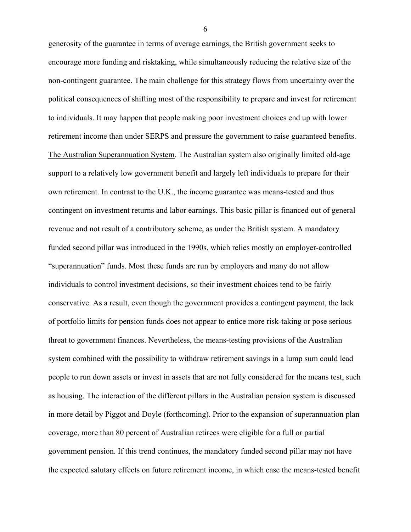generosity of the guarantee in terms of average earnings, the British government seeks to encourage more funding and risktaking, while simultaneously reducing the relative size of the non-contingent guarantee. The main challenge for this strategy flows from uncertainty over the political consequences of shifting most of the responsibility to prepare and invest for retirement to individuals. It may happen that people making poor investment choices end up with lower retirement income than under SERPS and pressure the government to raise guaranteed benefits. The Australian Superannuation System. The Australian system also originally limited old-age support to a relatively low government benefit and largely left individuals to prepare for their own retirement. In contrast to the U.K., the income guarantee was means-tested and thus contingent on investment returns and labor earnings. This basic pillar is financed out of general revenue and not result of a contributory scheme, as under the British system. A mandatory funded second pillar was introduced in the 1990s, which relies mostly on employer-controlled "superannuation" funds. Most these funds are run by employers and many do not allow individuals to control investment decisions, so their investment choices tend to be fairly conservative. As a result, even though the government provides a contingent payment, the lack of portfolio limits for pension funds does not appear to entice more risk-taking or pose serious threat to government finances. Nevertheless, the means-testing provisions of the Australian system combined with the possibility to withdraw retirement savings in a lump sum could lead people to run down assets or invest in assets that are not fully considered for the means test, such as housing. The interaction of the different pillars in the Australian pension system is discussed in more detail by Piggot and Doyle (forthcoming). Prior to the expansion of superannuation plan coverage, more than 80 percent of Australian retirees were eligible for a full or partial government pension. If this trend continues, the mandatory funded second pillar may not have the expected salutary effects on future retirement income, in which case the means-tested benefit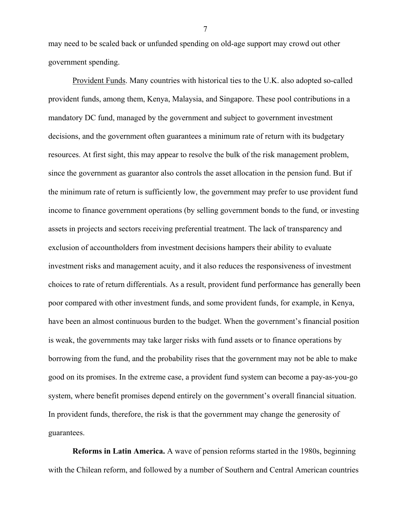may need to be scaled back or unfunded spending on old-age support may crowd out other government spending.

Provident Funds. Many countries with historical ties to the U.K. also adopted so-called provident funds, among them, Kenya, Malaysia, and Singapore. These pool contributions in a mandatory DC fund, managed by the government and subject to government investment decisions, and the government often guarantees a minimum rate of return with its budgetary resources. At first sight, this may appear to resolve the bulk of the risk management problem, since the government as guarantor also controls the asset allocation in the pension fund. But if the minimum rate of return is sufficiently low, the government may prefer to use provident fund income to finance government operations (by selling government bonds to the fund, or investing assets in projects and sectors receiving preferential treatment. The lack of transparency and exclusion of accountholders from investment decisions hampers their ability to evaluate investment risks and management acuity, and it also reduces the responsiveness of investment choices to rate of return differentials. As a result, provident fund performance has generally been poor compared with other investment funds, and some provident funds, for example, in Kenya, have been an almost continuous burden to the budget. When the government's financial position is weak, the governments may take larger risks with fund assets or to finance operations by borrowing from the fund, and the probability rises that the government may not be able to make good on its promises. In the extreme case, a provident fund system can become a pay-as-you-go system, where benefit promises depend entirely on the government's overall financial situation. In provident funds, therefore, the risk is that the government may change the generosity of guarantees.

**Reforms in Latin America.** A wave of pension reforms started in the 1980s, beginning with the Chilean reform, and followed by a number of Southern and Central American countries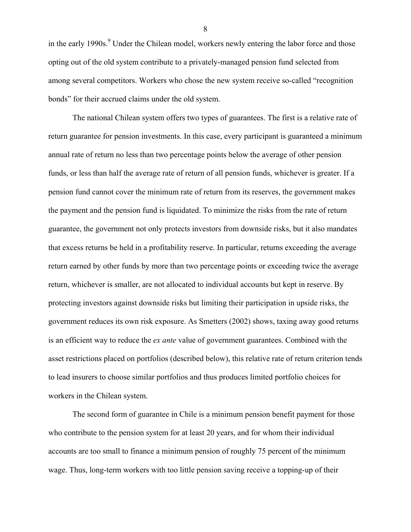in the early 1990s.<sup>9</sup> Under the Chilean model, workers newly entering the labor force and those opting out of the old system contribute to a privately-managed pension fund selected from among several competitors. Workers who chose the new system receive so-called "recognition bonds" for their accrued claims under the old system.

The national Chilean system offers two types of guarantees. The first is a relative rate of return guarantee for pension investments. In this case, every participant is guaranteed a minimum annual rate of return no less than two percentage points below the average of other pension funds, or less than half the average rate of return of all pension funds, whichever is greater. If a pension fund cannot cover the minimum rate of return from its reserves, the government makes the payment and the pension fund is liquidated. To minimize the risks from the rate of return guarantee, the government not only protects investors from downside risks, but it also mandates that excess returns be held in a profitability reserve. In particular, returns exceeding the average return earned by other funds by more than two percentage points or exceeding twice the average return, whichever is smaller, are not allocated to individual accounts but kept in reserve. By protecting investors against downside risks but limiting their participation in upside risks, the government reduces its own risk exposure. As Smetters (2002) shows, taxing away good returns is an efficient way to reduce the *ex ante* value of government guarantees. Combined with the asset restrictions placed on portfolios (described below), this relative rate of return criterion tends to lead insurers to choose similar portfolios and thus produces limited portfolio choices for workers in the Chilean system.

The second form of guarantee in Chile is a minimum pension benefit payment for those who contribute to the pension system for at least 20 years, and for whom their individual accounts are too small to finance a minimum pension of roughly 75 percent of the minimum wage. Thus, long-term workers with too little pension saving receive a topping-up of their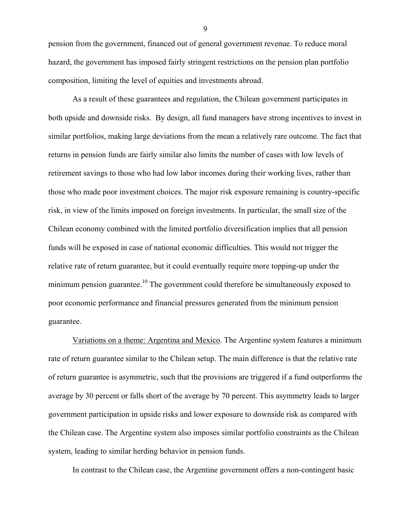pension from the government, financed out of general government revenue. To reduce moral hazard, the government has imposed fairly stringent restrictions on the pension plan portfolio composition, limiting the level of equities and investments abroad.

As a result of these guarantees and regulation, the Chilean government participates in both upside and downside risks. By design, all fund managers have strong incentives to invest in similar portfolios, making large deviations from the mean a relatively rare outcome. The fact that returns in pension funds are fairly similar also limits the number of cases with low levels of retirement savings to those who had low labor incomes during their working lives, rather than those who made poor investment choices. The major risk exposure remaining is country-specific risk, in view of the limits imposed on foreign investments. In particular, the small size of the Chilean economy combined with the limited portfolio diversification implies that all pension funds will be exposed in case of national economic difficulties. This would not trigger the relative rate of return guarantee, but it could eventually require more topping-up under the minimum pension guarantee.<sup>10</sup> The government could therefore be simultaneously exposed to poor economic performance and financial pressures generated from the minimum pension guarantee.

Variations on a theme: Argentina and Mexico. The Argentine system features a minimum rate of return guarantee similar to the Chilean setup. The main difference is that the relative rate of return guarantee is asymmetric, such that the provisions are triggered if a fund outperforms the average by 30 percent or falls short of the average by 70 percent. This asymmetry leads to larger government participation in upside risks and lower exposure to downside risk as compared with the Chilean case. The Argentine system also imposes similar portfolio constraints as the Chilean system, leading to similar herding behavior in pension funds.

In contrast to the Chilean case, the Argentine government offers a non-contingent basic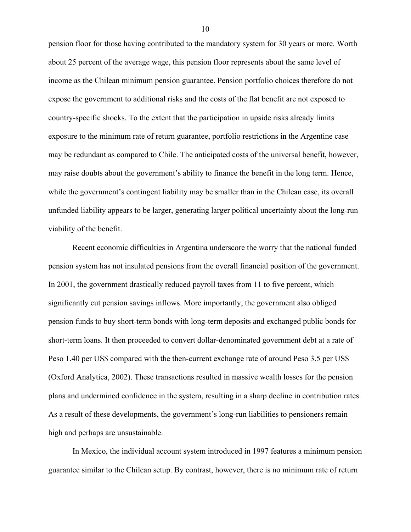pension floor for those having contributed to the mandatory system for 30 years or more. Worth about 25 percent of the average wage, this pension floor represents about the same level of income as the Chilean minimum pension guarantee. Pension portfolio choices therefore do not expose the government to additional risks and the costs of the flat benefit are not exposed to country-specific shocks. To the extent that the participation in upside risks already limits exposure to the minimum rate of return guarantee, portfolio restrictions in the Argentine case may be redundant as compared to Chile. The anticipated costs of the universal benefit, however, may raise doubts about the government's ability to finance the benefit in the long term. Hence, while the government's contingent liability may be smaller than in the Chilean case, its overall unfunded liability appears to be larger, generating larger political uncertainty about the long-run viability of the benefit.

Recent economic difficulties in Argentina underscore the worry that the national funded pension system has not insulated pensions from the overall financial position of the government. In 2001, the government drastically reduced payroll taxes from 11 to five percent, which significantly cut pension savings inflows. More importantly, the government also obliged pension funds to buy short-term bonds with long-term deposits and exchanged public bonds for short-term loans. It then proceeded to convert dollar-denominated government debt at a rate of Peso 1.40 per US\$ compared with the then-current exchange rate of around Peso 3.5 per US\$ (Oxford Analytica, 2002). These transactions resulted in massive wealth losses for the pension plans and undermined confidence in the system, resulting in a sharp decline in contribution rates. As a result of these developments, the government's long-run liabilities to pensioners remain high and perhaps are unsustainable.

In Mexico, the individual account system introduced in 1997 features a minimum pension guarantee similar to the Chilean setup. By contrast, however, there is no minimum rate of return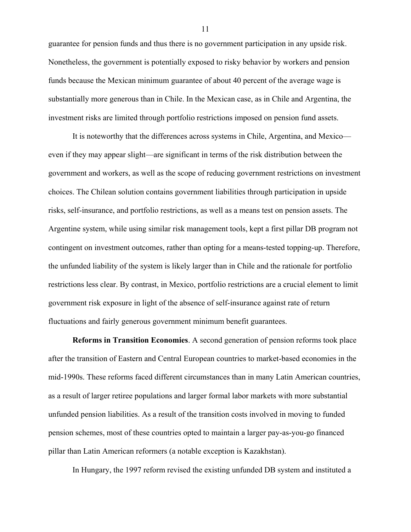guarantee for pension funds and thus there is no government participation in any upside risk. Nonetheless, the government is potentially exposed to risky behavior by workers and pension funds because the Mexican minimum guarantee of about 40 percent of the average wage is substantially more generous than in Chile. In the Mexican case, as in Chile and Argentina, the investment risks are limited through portfolio restrictions imposed on pension fund assets.

It is noteworthy that the differences across systems in Chile, Argentina, and Mexico even if they may appear slight—are significant in terms of the risk distribution between the government and workers, as well as the scope of reducing government restrictions on investment choices. The Chilean solution contains government liabilities through participation in upside risks, self-insurance, and portfolio restrictions, as well as a means test on pension assets. The Argentine system, while using similar risk management tools, kept a first pillar DB program not contingent on investment outcomes, rather than opting for a means-tested topping-up. Therefore, the unfunded liability of the system is likely larger than in Chile and the rationale for portfolio restrictions less clear. By contrast, in Mexico, portfolio restrictions are a crucial element to limit government risk exposure in light of the absence of self-insurance against rate of return fluctuations and fairly generous government minimum benefit guarantees.

**Reforms in Transition Economies**. A second generation of pension reforms took place after the transition of Eastern and Central European countries to market-based economies in the mid-1990s. These reforms faced different circumstances than in many Latin American countries, as a result of larger retiree populations and larger formal labor markets with more substantial unfunded pension liabilities. As a result of the transition costs involved in moving to funded pension schemes, most of these countries opted to maintain a larger pay-as-you-go financed pillar than Latin American reformers (a notable exception is Kazakhstan).

In Hungary, the 1997 reform revised the existing unfunded DB system and instituted a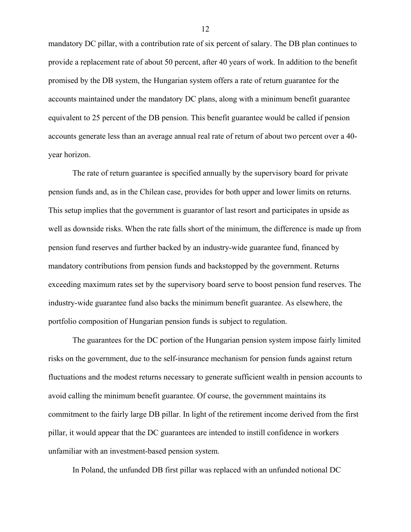mandatory DC pillar, with a contribution rate of six percent of salary. The DB plan continues to provide a replacement rate of about 50 percent, after 40 years of work. In addition to the benefit promised by the DB system, the Hungarian system offers a rate of return guarantee for the accounts maintained under the mandatory DC plans, along with a minimum benefit guarantee equivalent to 25 percent of the DB pension. This benefit guarantee would be called if pension accounts generate less than an average annual real rate of return of about two percent over a 40 year horizon.

The rate of return guarantee is specified annually by the supervisory board for private pension funds and, as in the Chilean case, provides for both upper and lower limits on returns. This setup implies that the government is guarantor of last resort and participates in upside as well as downside risks. When the rate falls short of the minimum, the difference is made up from pension fund reserves and further backed by an industry-wide guarantee fund, financed by mandatory contributions from pension funds and backstopped by the government. Returns exceeding maximum rates set by the supervisory board serve to boost pension fund reserves. The industry-wide guarantee fund also backs the minimum benefit guarantee. As elsewhere, the portfolio composition of Hungarian pension funds is subject to regulation.

The guarantees for the DC portion of the Hungarian pension system impose fairly limited risks on the government, due to the self-insurance mechanism for pension funds against return fluctuations and the modest returns necessary to generate sufficient wealth in pension accounts to avoid calling the minimum benefit guarantee. Of course, the government maintains its commitment to the fairly large DB pillar. In light of the retirement income derived from the first pillar, it would appear that the DC guarantees are intended to instill confidence in workers unfamiliar with an investment-based pension system.

In Poland, the unfunded DB first pillar was replaced with an unfunded notional DC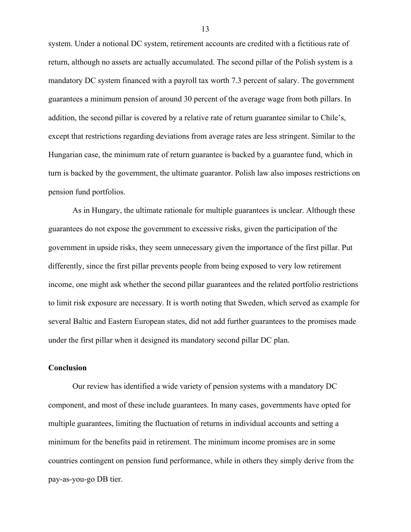system. Under a notional DC system, retirement accounts are credited with a fictitious rate of return, although no assets are actually accumulated. The second pillar of the Polish system is a mandatory DC system financed with a payroll tax worth 7.3 percent of salary. The government guarantees a minimum pension of around 30 percent of the average wage from both pillars. In addition, the second pillar is covered by a relative rate of return guarantee similar to Chile's, except that restrictions regarding deviations from average rates are less stringent. Similar to the Hungarian case, the minimum rate of return guarantee is backed by a guarantee fund, which in turn is backed by the government, the ultimate guarantor. Polish law also imposes restrictions on pension fund portfolios.

As in Hungary, the ultimate rationale for multiple guarantees is unclear. Although these guarantees do not expose the government to excessive risks, given the participation of the government in upside risks, they seem unnecessary given the importance of the first pillar. Put differently, since the first pillar prevents people from being exposed to very low retirement income, one might ask whether the second pillar guarantees and the related portfolio restrictions to limit risk exposure are necessary. It is worth noting that Sweden, which served as example for several Baltic and Eastern European states, did not add further guarantees to the promises made under the first pillar when it designed its mandatory second pillar DC plan.

### **Conclusion**

Our review has identified a wide variety of pension systems with a mandatory DC component, and most of these include guarantees. In many cases, governments have opted for multiple guarantees, limiting the fluctuation of returns in individual accounts and setting a minimum for the benefits paid in retirement. The minimum income promises are in some countries contingent on pension fund performance, while in others they simply derive from the pay-as-you-go DB tier.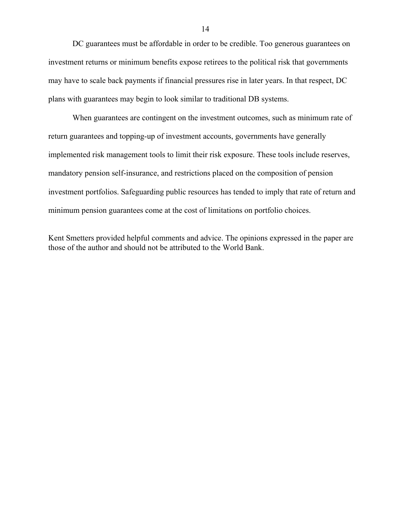DC guarantees must be affordable in order to be credible. Too generous guarantees on investment returns or minimum benefits expose retirees to the political risk that governments may have to scale back payments if financial pressures rise in later years. In that respect, DC plans with guarantees may begin to look similar to traditional DB systems.

When guarantees are contingent on the investment outcomes, such as minimum rate of return guarantees and topping-up of investment accounts, governments have generally implemented risk management tools to limit their risk exposure. These tools include reserves, mandatory pension self-insurance, and restrictions placed on the composition of pension investment portfolios. Safeguarding public resources has tended to imply that rate of return and minimum pension guarantees come at the cost of limitations on portfolio choices.

Kent Smetters provided helpful comments and advice. The opinions expressed in the paper are those of the author and should not be attributed to the World Bank.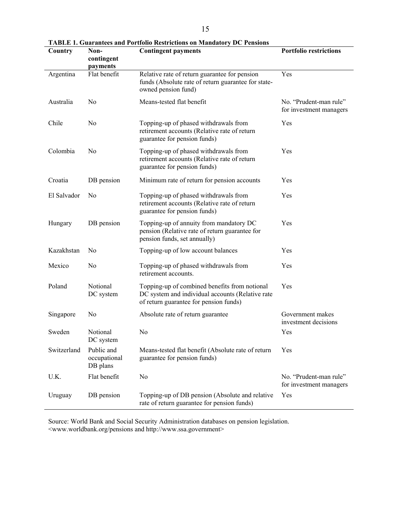| Country     | Non-<br>contingent<br>payments                     | <b>Contingent payments</b>                                                                                                                  | <b>Portfolio restrictions</b>                     |
|-------------|----------------------------------------------------|---------------------------------------------------------------------------------------------------------------------------------------------|---------------------------------------------------|
| Argentina   | Flat benefit                                       | Relative rate of return guarantee for pension<br>funds (Absolute rate of return guarantee for state-<br>owned pension fund)                 | Yes                                               |
| Australia   | No                                                 | Means-tested flat benefit                                                                                                                   | No. "Prudent-man rule"<br>for investment managers |
| Chile       | No                                                 | Topping-up of phased withdrawals from<br>retirement accounts (Relative rate of return<br>guarantee for pension funds)                       | Yes                                               |
| Colombia    | No                                                 | Topping-up of phased withdrawals from<br>retirement accounts (Relative rate of return<br>guarantee for pension funds)                       | Yes                                               |
| Croatia     | DB pension                                         | Minimum rate of return for pension accounts                                                                                                 | Yes                                               |
| El Salvador | N <sub>0</sub>                                     | Topping-up of phased withdrawals from<br>retirement accounts (Relative rate of return<br>guarantee for pension funds)                       | Yes                                               |
| Hungary     | DB pension                                         | Topping-up of annuity from mandatory DC<br>pension (Relative rate of return guarantee for<br>pension funds, set annually)                   | Yes                                               |
| Kazakhstan  | N <sub>0</sub>                                     | Topping-up of low account balances                                                                                                          | Yes                                               |
| Mexico      | No                                                 | Topping-up of phased withdrawals from<br>retirement accounts.                                                                               | Yes                                               |
| Poland      | Notional<br>DC system                              | Topping-up of combined benefits from notional<br>DC system and individual accounts (Relative rate<br>of return guarantee for pension funds) | Yes                                               |
| Singapore   | No                                                 | Absolute rate of return guarantee                                                                                                           | Government makes<br>investment decisions          |
| Sweden      | Notional<br>DC system                              | No                                                                                                                                          | Yes                                               |
|             | Switzerland Public and<br>occupational<br>DB plans | Means-tested flat benefit (Absolute rate of return<br>guarantee for pension funds)                                                          | Yes                                               |
| U.K.        | Flat benefit                                       | No                                                                                                                                          | No. "Prudent-man rule"<br>for investment managers |
| Uruguay     | DB pension                                         | Topping-up of DB pension (Absolute and relative<br>rate of return guarantee for pension funds)                                              | Yes                                               |

**TABLE 1. Guarantees and Portfolio Restrictions on Mandatory DC Pensions** 

Source: World Bank and Social Security Administration databases on pension legislation. <www.worldbank.org/pensions and http://www.ssa.government>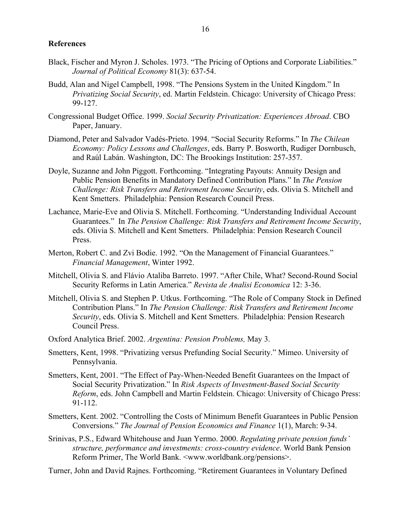### **References**

- Black, Fischer and Myron J. Scholes. 1973. "The Pricing of Options and Corporate Liabilities." *Journal of Political Economy* 81(3): 637-54.
- Budd, Alan and Nigel Campbell, 1998. "The Pensions System in the United Kingdom." In *Privatizing Social Security*, ed. Martin Feldstein. Chicago: University of Chicago Press: 99-127.
- Congressional Budget Office. 1999. *Social Security Privatization: Experiences Abroad*. CBO Paper, January.
- Diamond, Peter and Salvador Vadés-Prieto. 1994. "Social Security Reforms." In *The Chilean Economy: Policy Lessons and Challenges*, eds. Barry P. Bosworth, Rudiger Dornbusch, and Raúl Labán. Washington, DC: The Brookings Institution: 257-357.
- Doyle, Suzanne and John Piggott. Forthcoming. "Integrating Payouts: Annuity Design and Public Pension Benefits in Mandatory Defined Contribution Plans." In *The Pension Challenge: Risk Transfers and Retirement Income Security*, eds. Olivia S. Mitchell and Kent Smetters.Philadelphia: Pension Research Council Press.
- Lachance, Marie-Eve and Olivia S. Mitchell. Forthcoming. "Understanding Individual Account Guarantees." In *The Pension Challenge: Risk Transfers and Retirement Income Security*, eds. Olivia S. Mitchell and Kent Smetters.Philadelphia: Pension Research Council Press.
- Merton, Robert C. and Zvi Bodie. 1992. "On the Management of Financial Guarantees." *Financial Management*, Winter 1992.
- Mitchell, Olivia S. and Flávio Ataliba Barreto. 1997. "After Chile, What? Second-Round Social Security Reforms in Latin America." *Revista de Analisi Economica* 12: 3-36.
- Mitchell, Olivia S. and Stephen P. Utkus. Forthcoming. "The Role of Company Stock in Defined Contribution Plans." In *The Pension Challenge: Risk Transfers and Retirement Income Security*, eds. Olivia S. Mitchell and Kent Smetters.Philadelphia: Pension Research Council Press.
- Oxford Analytica Brief. 2002. *Argentina: Pension Problems,* May 3.
- Smetters, Kent, 1998. "Privatizing versus Prefunding Social Security." Mimeo. University of Pennsylvania.
- Smetters, Kent, 2001. "The Effect of Pay-When-Needed Benefit Guarantees on the Impact of Social Security Privatization." In *Risk Aspects of Investment-Based Social Security Reform*, eds. John Campbell and Martin Feldstein. Chicago: University of Chicago Press: 91-112.
- Smetters, Kent. 2002. "Controlling the Costs of Minimum Benefit Guarantees in Public Pension Conversions." *The Journal of Pension Economics and Finance* 1(1), March: 9-34.
- Srinivas, P.S., Edward Whitehouse and Juan Yermo. 2000. *Regulating private pension funds' structure, performance and investments: cross-country evidence*. World Bank Pension Reform Primer, The World Bank. <www.worldbank.org/pensions>.

Turner, John and David Rajnes. Forthcoming. "Retirement Guarantees in Voluntary Defined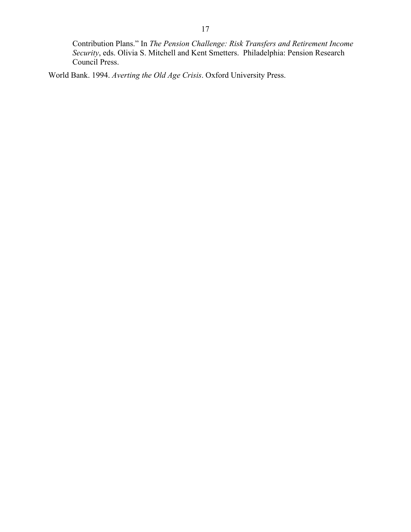Contribution Plans." In *The Pension Challenge: Risk Transfers and Retirement Income Security*, eds. Olivia S. Mitchell and Kent Smetters.Philadelphia: Pension Research Council Press.

World Bank. 1994. *Averting the Old Age Crisis*. Oxford University Press.